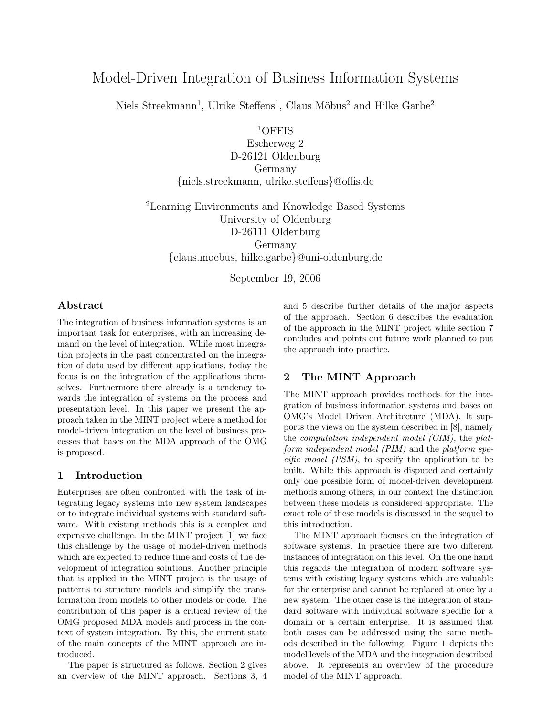# Model-Driven Integration of Business Information Systems

Niels Streekmann<sup>1</sup>, Ulrike Steffens<sup>1</sup>, Claus Möbus<sup>2</sup> and Hilke Garbe<sup>2</sup>

<sup>1</sup>OFFIS

Escherweg 2 D-26121 Oldenburg Germany {niels.streekmann, ulrike.steffens}@offis.de

<sup>2</sup>Learning Environments and Knowledge Based Systems University of Oldenburg D-26111 Oldenburg Germany {claus.moebus, hilke.garbe}@uni-oldenburg.de

September 19, 2006

#### Abstract

The integration of business information systems is an important task for enterprises, with an increasing demand on the level of integration. While most integration projects in the past concentrated on the integration of data used by different applications, today the focus is on the integration of the applications themselves. Furthermore there already is a tendency towards the integration of systems on the process and presentation level. In this paper we present the approach taken in the MINT project where a method for model-driven integration on the level of business processes that bases on the MDA approach of the OMG is proposed.

### 1 Introduction

Enterprises are often confronted with the task of integrating legacy systems into new system landscapes or to integrate individual systems with standard software. With existing methods this is a complex and expensive challenge. In the MINT project [1] we face this challenge by the usage of model-driven methods which are expected to reduce time and costs of the development of integration solutions. Another principle that is applied in the MINT project is the usage of patterns to structure models and simplify the transformation from models to other models or code. The contribution of this paper is a critical review of the OMG proposed MDA models and process in the context of system integration. By this, the current state of the main concepts of the MINT approach are introduced.

The paper is structured as follows. Section 2 gives an overview of the MINT approach. Sections 3, 4

and 5 describe further details of the major aspects of the approach. Section 6 describes the evaluation of the approach in the MINT project while section 7 concludes and points out future work planned to put the approach into practice.

### 2 The MINT Approach

The MINT approach provides methods for the integration of business information systems and bases on OMG's Model Driven Architecture (MDA). It supports the views on the system described in [8], namely the computation independent model (CIM), the platform independent model (PIM) and the platform spe $cific \ model \ (PSM)$ , to specify the application to be built. While this approach is disputed and certainly only one possible form of model-driven development methods among others, in our context the distinction between these models is considered appropriate. The exact role of these models is discussed in the sequel to this introduction.

The MINT approach focuses on the integration of software systems. In practice there are two different instances of integration on this level. On the one hand this regards the integration of modern software systems with existing legacy systems which are valuable for the enterprise and cannot be replaced at once by a new system. The other case is the integration of standard software with individual software specific for a domain or a certain enterprise. It is assumed that both cases can be addressed using the same methods described in the following. Figure 1 depicts the model levels of the MDA and the integration described above. It represents an overview of the procedure model of the MINT approach.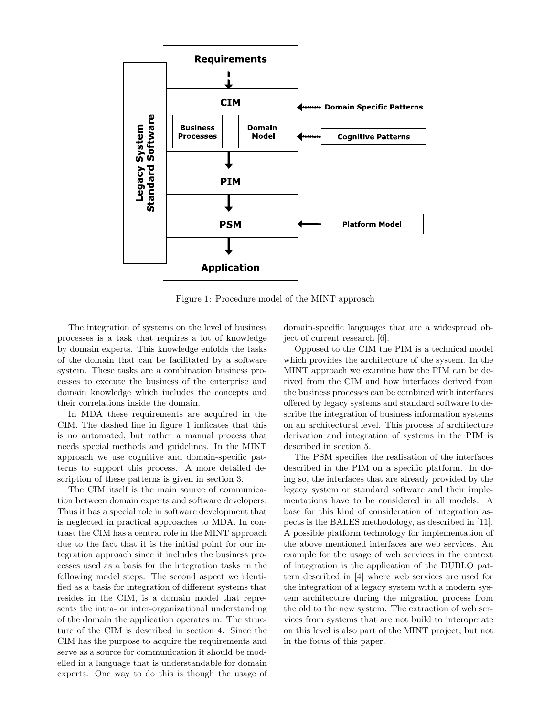

Figure 1: Procedure model of the MINT approach

The integration of systems on the level of business processes is a task that requires a lot of knowledge by domain experts. This knowledge enfolds the tasks of the domain that can be facilitated by a software system. These tasks are a combination business processes to execute the business of the enterprise and domain knowledge which includes the concepts and their correlations inside the domain.

In MDA these requirements are acquired in the CIM. The dashed line in figure 1 indicates that this is no automated, but rather a manual process that needs special methods and guidelines. In the MINT approach we use cognitive and domain-specific patterns to support this process. A more detailed description of these patterns is given in section 3.

The CIM itself is the main source of communication between domain experts and software developers. Thus it has a special role in software development that is neglected in practical approaches to MDA. In contrast the CIM has a central role in the MINT approach due to the fact that it is the initial point for our integration approach since it includes the business processes used as a basis for the integration tasks in the following model steps. The second aspect we identified as a basis for integration of different systems that resides in the CIM, is a domain model that represents the intra- or inter-organizational understanding of the domain the application operates in. The structure of the CIM is described in section 4. Since the CIM has the purpose to acquire the requirements and serve as a source for communication it should be modelled in a language that is understandable for domain experts. One way to do this is though the usage of domain-specific languages that are a widespread object of current research [6].

Opposed to the CIM the PIM is a technical model which provides the architecture of the system. In the MINT approach we examine how the PIM can be derived from the CIM and how interfaces derived from the business processes can be combined with interfaces offered by legacy systems and standard software to describe the integration of business information systems on an architectural level. This process of architecture derivation and integration of systems in the PIM is described in section 5.

The PSM specifies the realisation of the interfaces described in the PIM on a specific platform. In doing so, the interfaces that are already provided by the legacy system or standard software and their implementations have to be considered in all models. A base for this kind of consideration of integration aspects is the BALES methodology, as described in [11]. A possible platform technology for implementation of the above mentioned interfaces are web services. An example for the usage of web services in the context of integration is the application of the DUBLO pattern described in [4] where web services are used for the integration of a legacy system with a modern system architecture during the migration process from the old to the new system. The extraction of web services from systems that are not build to interoperate on this level is also part of the MINT project, but not in the focus of this paper.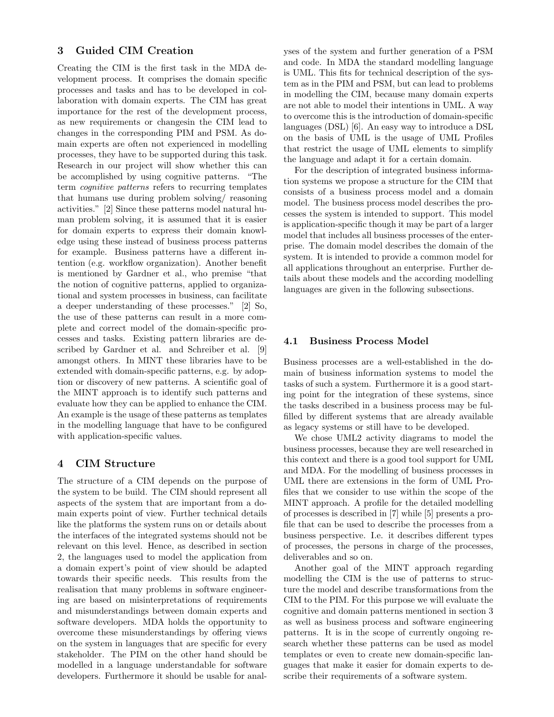## 3 Guided CIM Creation

Creating the CIM is the first task in the MDA development process. It comprises the domain specific processes and tasks and has to be developed in collaboration with domain experts. The CIM has great importance for the rest of the development process, as new requirements or changesin the CIM lead to changes in the corresponding PIM and PSM. As domain experts are often not experienced in modelling processes, they have to be supported during this task. Research in our project will show whether this can be accomplished by using cognitive patterns. "The term cognitive patterns refers to recurring templates that humans use during problem solving/ reasoning activities." [2] Since these patterns model natural human problem solving, it is assumed that it is easier for domain experts to express their domain knowledge using these instead of business process patterns for example. Business patterns have a different intention (e.g. workflow organization). Another benefit is mentioned by Gardner et al., who premise "that the notion of cognitive patterns, applied to organizational and system processes in business, can facilitate a deeper understanding of these processes." [2] So, the use of these patterns can result in a more complete and correct model of the domain-specific processes and tasks. Existing pattern libraries are described by Gardner et al. and Schreiber et al. [9] amongst others. In MINT these libraries have to be extended with domain-specific patterns, e.g. by adoption or discovery of new patterns. A scientific goal of the MINT approach is to identify such patterns and evaluate how they can be applied to enhance the CIM. An example is the usage of these patterns as templates in the modelling language that have to be configured with application-specific values.

#### 4 CIM Structure

The structure of a CIM depends on the purpose of the system to be build. The CIM should represent all aspects of the system that are important from a domain experts point of view. Further technical details like the platforms the system runs on or details about the interfaces of the integrated systems should not be relevant on this level. Hence, as described in section 2, the languages used to model the application from a domain expert's point of view should be adapted towards their specific needs. This results from the realisation that many problems in software engineering are based on misinterpretations of requirements and misunderstandings between domain experts and software developers. MDA holds the opportunity to overcome these misunderstandings by offering views on the system in languages that are specific for every stakeholder. The PIM on the other hand should be modelled in a language understandable for software developers. Furthermore it should be usable for analyses of the system and further generation of a PSM and code. In MDA the standard modelling language is UML. This fits for technical description of the system as in the PIM and PSM, but can lead to problems in modelling the CIM, because many domain experts are not able to model their intentions in UML. A way to overcome this is the introduction of domain-specific languages (DSL) [6]. An easy way to introduce a DSL on the basis of UML is the usage of UML Profiles that restrict the usage of UML elements to simplify the language and adapt it for a certain domain.

For the description of integrated business information systems we propose a structure for the CIM that consists of a business process model and a domain model. The business process model describes the processes the system is intended to support. This model is application-specific though it may be part of a larger model that includes all business processes of the enterprise. The domain model describes the domain of the system. It is intended to provide a common model for all applications throughout an enterprise. Further details about these models and the according modelling languages are given in the following subsections.

#### 4.1 Business Process Model

Business processes are a well-established in the domain of business information systems to model the tasks of such a system. Furthermore it is a good starting point for the integration of these systems, since the tasks described in a business process may be fulfilled by different systems that are already available as legacy systems or still have to be developed.

We chose UML2 activity diagrams to model the business processes, because they are well researched in this context and there is a good tool support for UML and MDA. For the modelling of business processes in UML there are extensions in the form of UML Profiles that we consider to use within the scope of the MINT approach. A profile for the detailed modelling of processes is described in [7] while [5] presents a profile that can be used to describe the processes from a business perspective. I.e. it describes different types of processes, the persons in charge of the processes, deliverables and so on.

Another goal of the MINT approach regarding modelling the CIM is the use of patterns to structure the model and describe transformations from the CIM to the PIM. For this purpose we will evaluate the cognitive and domain patterns mentioned in section 3 as well as business process and software engineering patterns. It is in the scope of currently ongoing research whether these patterns can be used as model templates or even to create new domain-specific languages that make it easier for domain experts to describe their requirements of a software system.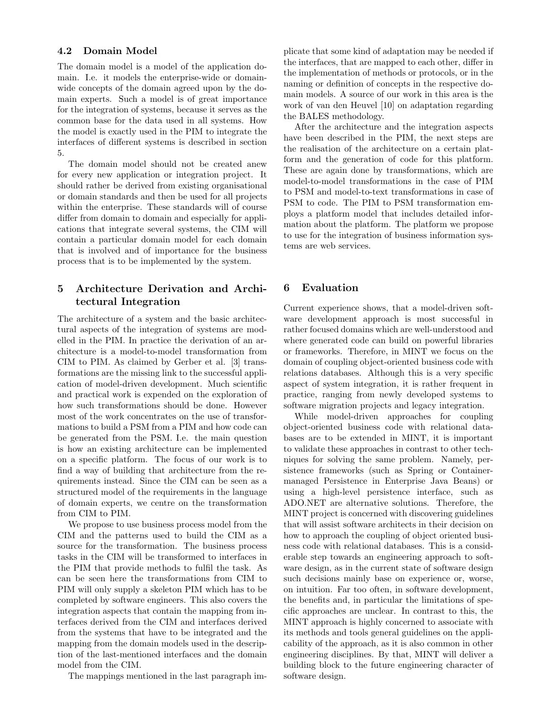#### 4.2 Domain Model

The domain model is a model of the application domain. I.e. it models the enterprise-wide or domainwide concepts of the domain agreed upon by the domain experts. Such a model is of great importance for the integration of systems, because it serves as the common base for the data used in all systems. How the model is exactly used in the PIM to integrate the interfaces of different systems is described in section 5.

The domain model should not be created anew for every new application or integration project. It should rather be derived from existing organisational or domain standards and then be used for all projects within the enterprise. These standards will of course differ from domain to domain and especially for applications that integrate several systems, the CIM will contain a particular domain model for each domain that is involved and of importance for the business process that is to be implemented by the system.

## 5 Architecture Derivation and Architectural Integration

The architecture of a system and the basic architectural aspects of the integration of systems are modelled in the PIM. In practice the derivation of an architecture is a model-to-model transformation from CIM to PIM. As claimed by Gerber et al. [3] transformations are the missing link to the successful application of model-driven development. Much scientific and practical work is expended on the exploration of how such transformations should be done. However most of the work concentrates on the use of transformations to build a PSM from a PIM and how code can be generated from the PSM. I.e. the main question is how an existing architecture can be implemented on a specific platform. The focus of our work is to find a way of building that architecture from the requirements instead. Since the CIM can be seen as a structured model of the requirements in the language of domain experts, we centre on the transformation from CIM to PIM.

We propose to use business process model from the CIM and the patterns used to build the CIM as a source for the transformation. The business process tasks in the CIM will be transformed to interfaces in the PIM that provide methods to fulfil the task. As can be seen here the transformations from CIM to PIM will only supply a skeleton PIM which has to be completed by software engineers. This also covers the integration aspects that contain the mapping from interfaces derived from the CIM and interfaces derived from the systems that have to be integrated and the mapping from the domain models used in the description of the last-mentioned interfaces and the domain model from the CIM.

The mappings mentioned in the last paragraph im-

plicate that some kind of adaptation may be needed if the interfaces, that are mapped to each other, differ in the implementation of methods or protocols, or in the naming or definition of concepts in the respective domain models. A source of our work in this area is the work of van den Heuvel [10] on adaptation regarding the BALES methodology.

After the architecture and the integration aspects have been described in the PIM, the next steps are the realisation of the architecture on a certain platform and the generation of code for this platform. These are again done by transformations, which are model-to-model transformations in the case of PIM to PSM and model-to-text transformations in case of PSM to code. The PIM to PSM transformation employs a platform model that includes detailed information about the platform. The platform we propose to use for the integration of business information systems are web services.

#### 6 Evaluation

Current experience shows, that a model-driven software development approach is most successful in rather focused domains which are well-understood and where generated code can build on powerful libraries or frameworks. Therefore, in MINT we focus on the domain of coupling object-oriented business code with relations databases. Although this is a very specific aspect of system integration, it is rather frequent in practice, ranging from newly developed systems to software migration projects and legacy integration.

While model-driven approaches for coupling object-oriented business code with relational databases are to be extended in MINT, it is important to validate these approaches in contrast to other techniques for solving the same problem. Namely, persistence frameworks (such as Spring or Containermanaged Persistence in Enterprise Java Beans) or using a high-level persistence interface, such as ADO.NET are alternative solutions. Therefore, the MINT project is concerned with discovering guidelines that will assist software architects in their decision on how to approach the coupling of object oriented business code with relational databases. This is a considerable step towards an engineering approach to software design, as in the current state of software design such decisions mainly base on experience or, worse, on intuition. Far too often, in software development, the benefits and, in particular the limitations of specific approaches are unclear. In contrast to this, the MINT approach is highly concerned to associate with its methods and tools general guidelines on the applicability of the approach, as it is also common in other engineering disciplines. By that, MINT will deliver a building block to the future engineering character of software design.